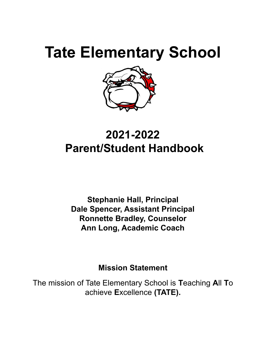

# **2021-2022 Parent/Student Handbook**

**Stephanie Hall, Principal Dale Spencer, Assistant Principal Ronnette Bradley, Counselor Ann Long, Academic Coach**

**Mission Statement**

The mission of Tate Elementary School is **T**eaching **A**ll **T**o achieve **E**xcellence **(TATE).**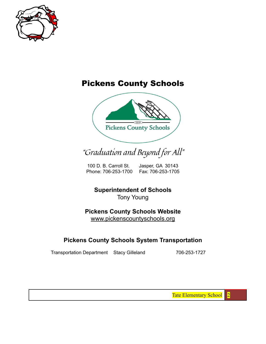

## Pickens County Schools



## "Graduation and Beyond for All"

100 D. B. Carroll St. Jasper, GA 30143 Phone: 706-253-1700 Fax: 706-253-1705

**Superintendent of Schools** Tony Young

**Pickens County Schools Website** [www.pickenscountyschools.org](http://www.pickenscountyschools.org)

### **Pickens County Schools System Transportation**

Transportation Department Stacy Gilleland 706-253-1727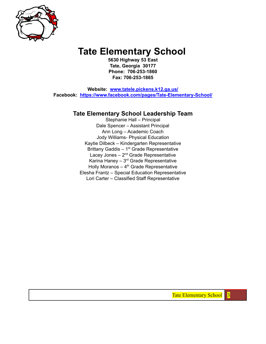

**5630 Highway 53 East Tate, Georgia 30177 Phone: 706-253-1860 Fax: 706-253-1865**

**Website: [www.tatele.pickens.k12.ga.us/](http://www.tatele.pickens.k12.ga.us/) Facebook: [https://www.facebook.com/pages/Tate-Elementary-School/](https://www.facebook.com/pages/Tate-Elementary-School/1439502152996365)**

#### **Tate Elementary School Leadership Team**

Stephanie Hall – Principal Dale Spencer – Assistant Principal Ann Long – Academic Coach Jody Williams- Physical Education Kaytie Dilbeck – Kindergarten Representative Brittany Gaddis – 1<sup>st</sup> Grade Representative Lacey Jones - 2<sup>nd</sup> Grade Representative Karina Haney  $-3<sup>rd</sup>$  Grade Representative Holly Moranos  $-4$ <sup>th</sup> Grade Representative Elesha Frantz – Special Education Representative Lori Carter – Classified Staff Representative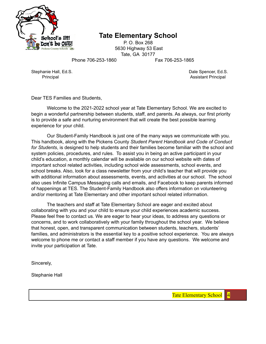

P. O. Box 268 5630 Highway 53 East Tate, GA 30177

Phone 706-253-1860 Fax 706-253-1865

Stephanie Hall, Ed.S. **Dale Spencer, Ed.S.** Dale Spencer, Ed.S.

Principal Assistant Principal Assistant Principal Assistant Principal Assistant Principal Assistant Principal

Dear TES Families and Students,

Welcome to the 2021-2022 school year at Tate Elementary School. We are excited to begin a wonderful partnership between students, staff, and parents. As always, our first priority is to provide a safe and nurturing environment that will create the best possible learning experience for your child.

Our Student-Family Handbook is just one of the many ways we communicate with you. This handbook, along with the Pickens County *Student Parent Handbook and Code of Conduct for Students*, is designed to help students and their families become familiar with the school and system policies, procedures, and rules. To assist you in being an active participant in your child's education, a monthly calendar will be available on our school website with dates of important school related activities, including school wide assessments, school events, and school breaks. Also, look for a class newsletter from your child's teacher that will provide you with additional information about assessments, events, and activities at our school. The school also uses Infinite Campus Messaging calls and emails, and Facebook to keep parents informed of happenings at TES. The Student-Family Handbook also offers information on volunteering and/or mentoring at Tate Elementary and other important school related information.

The teachers and staff at Tate Elementary School are eager and excited about collaborating with you and your child to ensure your child experiences academic success. Please feel free to contact us. We are eager to hear your ideas, to address any questions or concerns, and to work collaboratively with your family throughout the school year. We believe that honest, open, and transparent communication between students, teachers, students' families, and administrators is the essential key to a positive school experience. You are always welcome to phone me or contact a staff member if you have any questions. We welcome and invite your participation at Tate.

Sincerely,

Stephanie Hall

Tate Elementary School | 4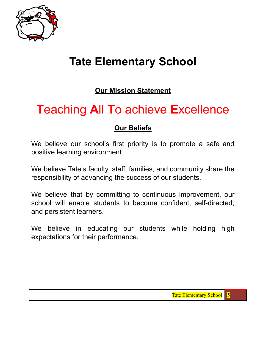

## **Our Mission Statement**

# **T**eaching **A**ll **T**o achieve **E**xcellence

## **Our Beliefs**

We believe our school's first priority is to promote a safe and positive learning environment.

We believe Tate's faculty, staff, families, and community share the responsibility of advancing the success of our students.

We believe that by committing to continuous improvement, our school will enable students to become confident, self-directed, and persistent learners.

We believe in educating our students while holding high expectations for their performance.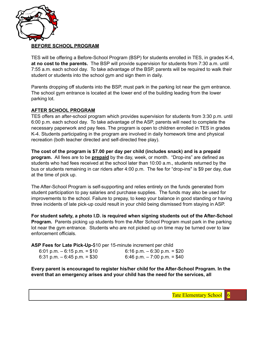

#### **BEFORE SCHOOL PROGRAM**

TES will be offering a Before-School Program (BSP) for students enrolled in TES, in grades K-4, **at no cost to the parents.** The BSP will provide supervision for students from 7:30 a.m. until 7:55 a.m. each school day. To take advantage of the BSP, parents will be required to walk their student or students into the school gym and sign them in daily.

Parents dropping off students into the BSP, must park in the parking lot near the gym entrance. The school gym entrance is located at the lower end of the building leading from the lower parking lot.

#### **AFTER SCHOOL PROGRAM**

TES offers an after-school program which provides supervision for students from 3:30 p.m. until 6:00 p.m. each school day. To take advantage of the ASP, parents will need to complete the necessary paperwork and pay fees. The program is open to children enrolled in TES in grades K-4. Students participating in the program are involved in daily homework time and physical recreation (both teacher directed and self-directed free play).

**The cost of the program is \$7.00 per day per child (includes snack) and is a prepaid program.** All fees are to be **prepaid** by the day, week, or month. "Drop-ins" are defined as students who had fees received at the school later than 10:00 a.m., students returned by the bus or students remaining in car riders after 4:00 p.m. The fee for "drop-ins'' is \$9 per day, due at the time of pick up.

The After-School Program is self-supporting and relies entirely on the funds generated from student participation to pay salaries and purchase supplies. The funds may also be used for improvements to the school. Failure to prepay, to keep your balance in good standing or having three incidents of late pick-up could result in your child being dismissed from staying in ASP.

**For student safety, a photo I.D. is required when signing students out of the After-School Program.** Parents picking up students from the After School Program must park in the parking lot near the gym entrance. Students who are not picked up on time may be turned over to law enforcement officials.

**ASP Fees for Late Pick-Up-**\$10 per 15-minute increment per child

| 6:01 p.m. $-$ 6:15 p.m. = \$10 | $6:16$ p.m. $-6:30$ p.m. = \$20 |
|--------------------------------|---------------------------------|
| 6:31 p.m. $-$ 6:45 p.m. = \$30 | 6:46 p.m. $-7:00$ p.m. $= $40$  |

**Every parent is encouraged to register his/her child for the After-School Program. In the event that an emergency arises and your child has the need for the services, all**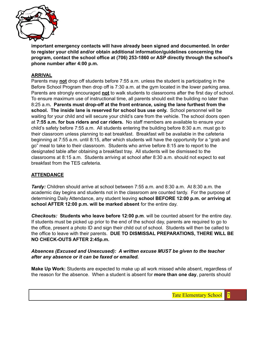

**important emergency contacts will have already been signed and documented. In order to register your child and/or obtain additional information/guidelines concerning the program, contact the school office at (706) 253-1860 or ASP directly through the school's phone number after 4:00 p.m.**

#### **ARRIVAL**

Parents may **not** drop off students before 7:55 a.m. unless the student is participating in the Before School Program then drop off is 7:30 a.m. at the gym located in the lower parking area. Parents are strongly encouraged **not** to walk students to classrooms after the first day of school. To ensure maximum use of instructional time, all parents should exit the building no later than 8:25 a.m**. Parents must drop-off at the front entrance, using the lane furthest from the school. The inside lane is reserved for school bus use only.** School personnel will be waiting for your child and will secure your child's care from the vehicle. The school doors open at **7:55 a.m. for bus riders and car riders.** No staff members are available to ensure your child's safety before 7:55 a.m. All students entering the building before 8:30 a.m. must go to their classroom unless planning to eat breakfast. Breakfast will be available in the cafeteria beginning at 7:55 a.m. until 8:15, after which students will have the opportunity for a "grab and go" meal to take to their classroom. Students who arrive before 8:15 are to report to the designated table after obtaining a breakfast tray. All students will be dismissed to the classrooms at 8:15 a.m. Students arriving at school after 8:30 a.m. should not expect to eat breakfast from the TES cafeteria.

#### **ATTENDANCE**

*Tardy:* Children should arrive at school between 7:55 a.m. and 8:30 a.m. At 8:30 a.m. the academic day begins and students not in the classroom are counted tardy. For the purpose of determining Daily Attendance, any student leaving **school BEFORE 12:00 p.m. or arriving at school AFTER 12:00 p.m. will be marked absent** for the entire day.

*Checkouts:* **Students who leave before 12:00 p.m**. will be counted absent for the entire day. If students must be picked up prior to the end of the school day, parents are required to go to the office, present a photo ID and sign their child out of school. Students will then be called to the office to leave with their parents. **DUE TO DISMISSAL PREPARATIONS, THERE WILL BE NO CHECK-OUTS AFTER 2:45p.m.**

#### *Absences (Excused and Unexcused): A written excuse MUST be given to the teacher after any absence or it can be faxed or emailed.*

**Make Up Work:** Students are expected to make up all work missed while absent, regardless of the reason for the absence. When a student is absent for **more than one day**, parents should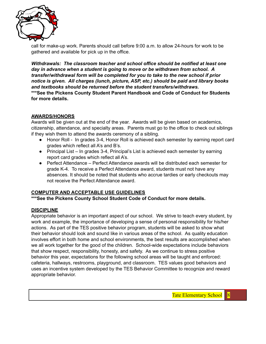

call for make-up work. Parents should call before 9:00 a.m. to allow 24-hours for work to be gathered and available for pick up in the office.

*Withdrawals: The classroom teacher and school office should be notified at least one day in advance when a student is going to move or be withdrawn from school. A transfer/withdrawal form will be completed for you to take to the new school if prior notice is given. All charges (lunch, picture, ASP, etc.) should be paid and library books and textbooks should be returned before the student transfers/withdraws.*

**\*\*\*See the Pickens County Student Parent Handbook and Code of Conduct for Students for more details.**

#### **AWARDS/HONORS**

Awards will be given out at the end of the year. Awards will be given based on academics, citizenship, attendance, and specialty areas. Parents must go to the office to check out siblings if they wish them to attend the awards ceremony of a sibling.

- Honor Roll In grades 3-4, Honor Roll is achieved each semester by earning report card grades which reflect all A's and B's.
- Principal List In grades 3-4, Principal's List is achieved each semester by earning report card grades which reflect all A's.
- Perfect Attendance Perfect Attendance awards will be distributed each semester for grade K-4. To receive a Perfect Attendance award, students must not have any absences. It should be noted that students who accrue tardies or early checkouts may not receive the Perfect Attendance award.

#### **COMPUTER AND ACCEPTABLE USE GUIDELINES**

**\*\*\*See the Pickens County School Student Code of Conduct for more details.**

#### **DISCIPLINE**

Appropriate behavior is an important aspect of our school. We strive to teach every student, by work and example, the importance of developing a sense of personal responsibility for his/her actions. As part of the TES positive behavior program, students will be asked to show what their behavior should look and sound like in various areas of the school. As quality education involves effort in both home and school environments, the best results are accomplished when we all work together for the good of the children. School-wide expectations include behaviors that show respect, responsibility, honesty, and safety. As we continue to stress positive behavior this year, expectations for the following school areas will be taught and enforced: cafeteria, hallways, restrooms, playground, and classroom. TES values good behaviors and uses an incentive system developed by the TES Behavior Committee to recognize and reward appropriate behavior.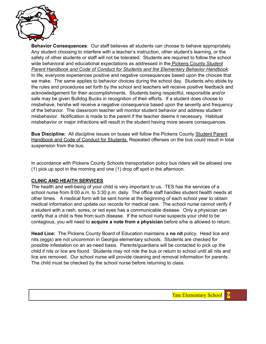

**Behavior Consequences**: Our staff believes all students can choose to behave appropriately. Any student choosing to interfere with a teacher's instruction, other student's learning, or the safety of other students or staff will not be tolerated. Students are required to follow the school wide behavioral and educational expectations as addressed in the Pickens County *Student Parent Handbook and Code of Conduct for Students and the Elementary Behavior Handbook*. In life, everyone experiences positive and negative consequences based upon the choices that we make. The same applies to behavior choices during the school day. Students who abide by the rules and procedures set forth by the school and teachers will receive positive feedback and acknowledgement for their accomplishments. Students being respectful, responsible and/or safe may be given Bulldog Bucks in recognition of their efforts. If a student does choose to misbehave, he/she will receive a negative consequence based upon the severity and frequency of the behavior. The classroom teacher will monitor student behavior and address student misbehavior. Notification is made to the parent if the teacher deems it necessary. Habitual misbehavior or major infractions will result in the student having more severe consequences.

**Bus Discipline:** All discipline issues on buses will follow the Pickens County Student Parent Handbook and Code of Conduct for Students. Repeated offenses on the bus could result in total suspension from the bus.

In accordance with Pickens County Schools transportation policy bus riders will be allowed one (1) pick up spot in the morning and one (1) drop off spot in the afternoon.

#### **CLINIC AND HEAlTH SERVICES**

The health and well-being of your child is very important to us. TES has the services of a school nurse from 8:00 a.m. to 3:30 p.m. daily. The office staff handles student health needs at other times. A medical form will be sent home at the beginning of each school year to obtain medical information and update our records for medical care. The school nurse cannot verify if a student with a rash, sores, or red eyes has a communicable disease. Only a physician can certify that a child is free from such disease. If the school nurse suspects your child to be contagious, you will need to **acquire a note from a physician** before s/he is allowed to return.

**Head Lice:** The Pickens County Board of Education maintains a **no nit** policy. Head lice and nits (eggs) are not uncommon in Georgia elementary schools. Students are checked for possible infestation on an as-need basis. Parents/guardians will be contacted to pick up the child if nits or lice are found. Students may not ride the bus or return to school until all nits and lice are removed. Our school nurse will provide cleaning and removal information for parents. The child must be checked by the school nurse before returning to class.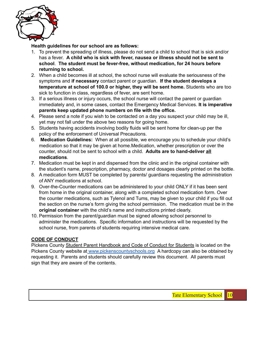

#### **Health guidelines for our school are as follows:**

- 1. To prevent the spreading of illness, please do not send a child to school that is sick and/or has a fever. **A child who is sick with fever, nausea or illness should not be sent to school**. **The student must be fever-free, without medication, for 24 hours before returning to school.**
- 2. When a child becomes ill at school, the school nurse will evaluate the seriousness of the symptoms and **if necessary** contact parent or guardian. **If the student develops a temperature at school of 100.0 or higher, they will be sent home.** Students who are too sick to function in class, regardless of fever, are sent home.
- 3. If a serious illness or injury occurs, the school nurse will contact the parent or guardian immediately and, in some cases, contact the Emergency Medical Services. **It is imperative parents keep updated phone numbers on file with the office.**
- 4. Please send a note if you wish to be contacted on a day you suspect your child may be ill, yet may not fall under the above two reasons for going home.
- 5. Students having accidents involving bodily fluids will be sent home for clean-up per the policy of the enforcement of Universal Precautions.
- 6. **Medication Guidelines:** When at all possible, we encourage you to schedule your child's medication so that it may be given at home.Medication, whether prescription or over the counter, should not be sent to school with a child. **Adults are to hand-deliver all medications**.
- 7. Medication must be kept in and dispensed from the clinic and in the original container with the student's name, prescription, pharmacy, doctor and dosages clearly printed on the bottle.
- 8. A medication form MUST be completed by parents/ guardians requesting the administration of ANY medications at school.
- 9. Over-the-Counter medications can be administered to your child ONLY if it has been sent from home in the original container, along with a completed school medication form. Over the counter medications, such as Tylenol and Tums, may be given to your child if you fill out the section on the nurse's form giving the school permission. The medication must be in the **original container** with the child's name and instructions printed clearly.
- 10. Permission from the parent/guardian must be signed allowing school personnel to administer the medications. Specific information and instructions will be requested by the school nurse, from parents of students requiring intensive medical care.

#### **CODE OF CONDUCT**

Pickens County Student Parent Handbook and Code of Conduct for Students is located on the Pickens County website at [www.pickenscountyschools.org](http://www.pickens.k12.ga.us) A hardcopy can also be obtained by requesting it. Parents and students should carefully review this document. All parents must sign that they are aware of the contents.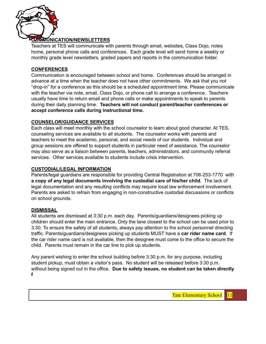

#### **COMMUNICATION/NEWSLETTERS**

Teachers at TES will communicate with parents through email, websites, Class Dojo, notes home, personal phone calls and conferences. Each grade level will send home a weekly or monthly grade level newsletters, graded papers and reports in the communication folder.

#### **CONFERENCES**

Communication is encouraged between school and home. Conferences should be arranged in advance at a time when the teacher does not have other commitments. We ask that you not "drop-in" for a conference as this should be a scheduled appointment time. Please communicate with the teacher via note, email, Class Dojo, or phone call to arrange a conference. Teachers usually have time to return email and phone calls or make appointments to speak to parents during their daily planning time. **Teachers will not conduct parent/teacher conferences or accept conference calls during instructional time.**

#### **COUNSELOR/GUIDANCE SERVICES**

Each class will meet monthly with the school counselor to learn about good character. At TES, counseling services are available to all students. The counselor works with parents and teachers to meet the academic, personal, and social needs of our students. Individual and group sessions are offered to support students in particular need of assistance. The counselor may also serve as a liaison between parents, teachers, administrators, and community referral services. Other services available to students include crisis intervention.

#### **CUSTODIAL/LEGAL INFORMATION**

Parents/legal guardians are responsible for providing Central Registration at 706-253-1770 with **a copy of any legal documents involving the custodial care of his/her child**. The lack of legal documentation and any resulting conflicts may require local law enforcement involvement. Parents are asked to refrain from engaging in non-constructive custodial discussions or conflicts on school grounds.

#### **DISMISSAL**

All students are dismissed at 3:30 p.m. each day. Parents/guardians/designees picking up children should enter the main entrance. Only the lane closest to the school can be used prior to 3:30. To ensure the safety of all students, always pay attention to the school personnel directing traffic. Parents/guardians/designees picking up students MUST have a **car rider name card**. If the car rider name card is not available, then the designee must come to the office to secure the child. Parents must remain in the car line to pick up students.

Any parent wishing to enter the school building before 3:30 p.m. for any purpose, including student pickup, must obtain a visitor's pass. No student will be released before 3:30 p.m. without being signed out in the office. **Due to safety issues, no student can be taken directly f**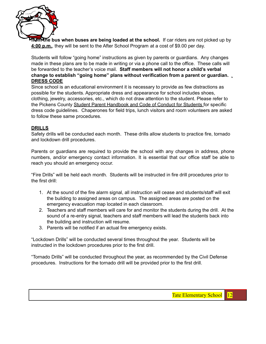

**from the bus when buses are being loaded at the school.** If car riders are not picked up by **4:00 p.m.**, they will be sent to the After School Program at a cost of \$9.00 per day.

Students will follow "going home" instructions as given by parents or guardians. Any changes made in these plans are to be made in writing or via a phone call to the office. These calls will be forwarded to the teacher's voice mail. **Staff members will not honor a child's verbal change to establish "going home" plans without verification from a parent or guardian.** . **DRESS CODE**

Since school is an educational environment it is necessary to provide as few distractions as possible for the students. Appropriate dress and appearance for school includes shoes, clothing, jewelry, accessories, etc., which do not draw attention to the student. Please refer to the Pickens County Student Parent Handbook and Code of Conduct for Students for specific dress code guidelines. Chaperones for field trips, lunch visitors and room volunteers are asked to follow these same procedures.

#### **DRILLS**

Safety drills will be conducted each month. These drills allow students to practice fire, tornado and lockdown drill procedures.

Parents or guardians are required to provide the school with any changes in address, phone numbers, and/or emergency contact information. It is essential that our office staff be able to reach you should an emergency occur.

"Fire Drills" will be held each month. Students will be instructed in fire drill procedures prior to the first drill:

- 1. At the sound of the fire alarm signal, all instruction will cease and students/staff will exit the building to assigned areas on campus. The assigned areas are posted on the emergency evacuation map located in each classroom.
- 2. Teachers and staff members will care for and monitor the students during the drill. At the sound of a re-entry signal, teachers and staff members will lead the students back into the building and instruction will resume.
- 3. Parents will be notified if an actual fire emergency exists.

"Lockdown Drills" will be conducted several times throughout the year. Students will be instructed in the lockdown procedures prior to the first drill.

"Tornado Drills" will be conducted throughout the year, as recommended by the Civil Defense procedures. Instructions for the tornado drill will be provided prior to the first drill.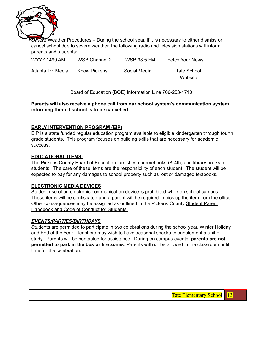

Severe Weather Procedures – During the school year, if it is necessary to either dismiss or cancel school due to severe weather, the following radio and television stations will inform parents and students:

| WYYZ 1490 AM     | WSB Channel 2       | <b>WSB 98.5 FM</b> | <b>Fetch Your News</b> |
|------------------|---------------------|--------------------|------------------------|
| Atlanta Tv Media | <b>Know Pickens</b> | Social Media       | Tate School<br>Website |

Board of Education (BOE) Information Line 706-253-1710

**Parents will also receive a phone call from our school system's communication system informing them if school is to be cancelled**.

#### **EARLY INTERVENTION PROGRAM (EIP)**

EIP is a state funded regular education program available to eligible kindergarten through fourth grade students. This program focuses on building skills that are necessary for academic success.

#### **EDUCATIONAL ITEMS:**

The Pickens County Board of Education furnishes chromebooks (K-4th) and library books to students. The care of these items are the responsibility of each student. The student will be expected to pay for any damages to school property such as lost or damaged textbooks.

#### **ELECTRONIC MEDIA DEVICES**

Student use of an electronic communication device is prohibited while on school campus. These items will be confiscated and a parent will be required to pick up the item from the office. Other consequences may be assigned as outlined in the Pickens County Student Parent Handbook and Code of Conduct for Students.

#### *EVENTS/PARTIES/BIRTHDAYS*

Students are permitted to participate in two celebrations during the school year, Winter Holiday and End of the Year. Teachers may wish to have seasonal snacks to supplement a unit of study. Parents will be contacted for assistance. During on campus events, **parents are not permitted to park in the bus or fire zones**. Parents will not be allowed in the classroom until time for the celebration.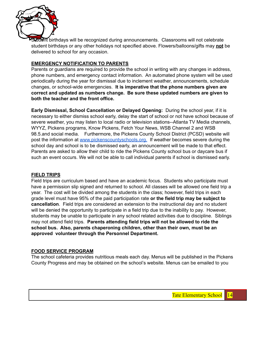

Student birthdays will be recognized during announcements. Classrooms will not celebrate student birthdays or any other holidays not specified above. Flowers/balloons/gifts may **not** be delivered to school for any occasion.

#### **EMERGENCY NOTIFICATION TO PARENTS**

Parents or guardians are required to provide the school in writing with any changes in address, phone numbers, and emergency contact information. An automated phone system will be used periodically during the year for dismissal due to inclement weather, announcements, schedule changes, or school-wide emergencies. **It is imperative that the phone numbers given are correct and updated as numbers change. Be sure these updated numbers are given to both the teacher and the front office.**

**Early Dismissal, School Cancellation or Delayed Opening:** During the school year, if it is necessary to either dismiss school early, delay the start of school or not have school because of severe weather, you may listen to local radio or television stations--Atlanta TV Media channels, WYYZ, Pickens programs, Know Pickens, Fetch Your News, WSB Channel 2 and WSB 98.5.and social media. Furthermore, the Pickens County School District (PCSD) website will post the information at [www.pickenscountyschools.org.](http://www.pickens.k12.ga.us) If weather becomes severe during the school day and school is to be dismissed early, an announcement will be made to that effect. Parents are asked to allow their child to ride the Pickens County school bus or daycare bus if such an event occurs. We will not be able to call individual parents if school is dismissed early.

#### **FIELD TRIPS**

Field trips are curriculum based and have an academic focus. Students who participate must have a permission slip signed and returned to school. All classes will be allowed one field trip a year. The cost will be divided among the students in the class; however, field trips in each grade level must have 95% of the paid participation rate **or the field trip may be subject to cancellation**. Field trips are considered an extension to the instructional day and no student will be denied the opportunity to participate in a field trip due to the inability to pay. However, students may be unable to participate in any school related activities due to discipline. Siblings may not attend field trips. **Parents attending field trips will not be allowed to ride the school bus. Also, parents chaperoning children, other than their own, must be an approved volunteer through the Personnel Department.**

#### **FOOD SERVICE PROGRAM**

The school cafeteria provides nutritious meals each day. Menus will be published in the Pickens County Progress and may be obtained on the school's website. Menus can be emailed to you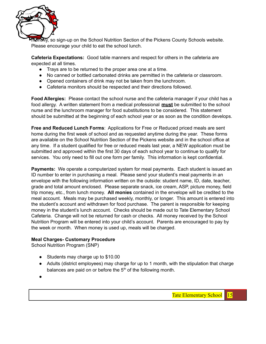

WomMV, so sign-up on the School Nutrition Section of the Pickens County Schools website. Please encourage your child to eat the school lunch.

**Cafeteria Expectations:** Good table manners and respect for others in the cafeteria are expected at all times.

- Trays are to be returned to the proper area one at a time.
- No canned or bottled carbonated drinks are permitted in the cafeteria or classroom.
- Opened containers of drink may not be taken from the lunchroom.
- Cafeteria monitors should be respected and their directions followed.

**Food Allergies:** Please contact the school nurse and the cafeteria manager if your child has a food allergy. A written statement from a medical professional **must** be submitted to the school nurse and the lunchroom manager for food substitutions to be considered. This statement should be submitted at the beginning of each school year or as soon as the condition develops.

**Free and Reduced Lunch Forms**: Applications for Free or Reduced priced meals are sent home during the first week of school and as requested anytime during the year. These forms are available on the School Nutrition Section of the Pickens website and in the school office at any time. If a student qualified for free or reduced meals last year, a NEW application must be submitted and approved within the first 30 days of each school year to continue to qualify for services. You only need to fill out one form per family. This information is kept confidential.

**Payments:** We operate a computerized system for meal payments. Each student is issued an ID number to enter in purchasing a meal. Please send your student's meal payments in an envelope with the following information written on the outside: student name, ID, date, teacher, grade and total amount enclosed. Please separate snack, ice cream, ASP, picture money, field trip money, etc., from lunch money. **All monies** contained in the envelope will be credited to the meal account. Meals may be purchased weekly, monthly, or longer. This amount is entered into the student's account and withdrawn for food purchase. The parent is responsible for keeping money in the student's lunch account. Checks should be made out to Tate Elementary School Cafeteria. Change will not be returned for cash or checks. All money received by the School Nutrition Program will be entered into your child's account. Parents are encouraged to pay by the week or month. When money is used up, meals will be charged.

#### **Meal Charges- Customary Procedure**

School Nutrition Program (SNP)

- Students may charge up to \$10.00
- Adults (district employees) may charge for up to 1 month, with the stipulation that charge balances are paid on or before the  $5<sup>th</sup>$  of the following month.
- ●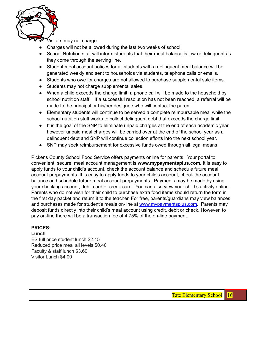

Visitors may not charge.

- Charges will not be allowed during the last two weeks of school.
- School Nutrition staff will inform students that their meal balance is low or delinguent as they come through the serving line.
- Student meal account notices for all students with a delinquent meal balance will be generated weekly and sent to households via students, telephone calls or emails.
- *●* Students who owe for charges are not allowed to purchase supplemental sale items.
- *●* Students may not charge supplemental sales.
- When a child exceeds the charge limit, a phone call will be made to the household by school nutrition staff. If a successful resolution has not been reached, a referral will be made to the principal or his/her designee who will contact the parent.
- Elementary students will continue to be served a complete reimbursable meal while the school nutrition staff works to collect delinquent debt that exceeds the charge limit.
- It is the goal of the SNP to eliminate unpaid charges at the end of each academic year, however unpaid meal charges will be carried over at the end of the school year as a delinquent debt and SNP will continue collection efforts into the next school year.
- SNP may seek reimbursement for excessive funds owed through all legal means.

Pickens County School Food Service offers payments online for parents. Your portal to convenient, secure, meal account management is **www.mypaymentsplus.com.** It is easy to apply funds to your child's account, check the account balance and schedule future meal account prepayments. It is easy to apply funds to your child's account, check the account balance and schedule future meal account prepayments. Payments may be made by using your checking account, debit card or credit card. You can also view your child's activity online. Parents who do not wish for their child to purchase extra food items should return the form in the first day packet and return it to the teacher. For free, parents/guardians may view balances and purchases made for student's meals on-line at [www.mypaymentsplus.com.](http://www.mypaymentsplus.com) Parents may deposit funds directly into their child's meal account using credit, debit or check. However, to pay on-line there will be a transaction fee of 4.75% of the on-line payment.

#### **PRICES:**

#### **Lunch**

ES full price student lunch \$2.15 Reduced price meal all levels \$0.40 Faculty & staff lunch \$3.60 Visitor Lunch \$4.00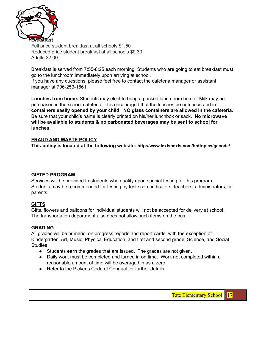

Full price student breakfast at all schools \$1.50 Reduced price student breakfast at all schools \$0.30 Adults \$2.00

Breakfast is served from 7:55-8:25 each morning. Students who are going to eat breakfast must go to the lunchroom immediately upon arriving at school.

If you have any questions, please feel free to contact the cafeteria manager or assistant manager at 706-253-1861.

**Lunches from home:** Students may elect to bring a packed lunch from home. Milk may be purchased in the school cafeteria. It is encouraged that the lunches be nutritious and in **containers easily opened by your child**. **NO glass containers are allowed in the cafeteria.** Be sure that your child's name is clearly printed on his/her lunchbox or sack**. No microwave will be available to students & no carbonated beverages may be sent to school for lunches.**

#### **FRAUD AND WASTE POLICY**

**This policy is located at the following website: http://www.lexisnexis.com/hottopics/gacode/**

#### **GIFTED PROGRAM**

Services will be provided to students who qualify upon special testing for this program. Students may be recommended for testing by test score indicators, teachers, administrators, or parents.

#### **GIFTS**

Gifts, flowers and balloons for individual students will not be accepted for delivery at school. The transportation department also does not allow such items on the bus.

#### **GRADING**

All grades will be numeric, on progress reports and report cards, with the exception of Kindergarten, Art, Music, Physical Education, and first and second grade: Science, and Social **Studies** 

- Students **earn** the grades that are issued. The grades are not given.
- Daily work must be completed and turned in on time. Work not completed within a reasonable amount of time will be averaged in as a zero.
- Refer to the Pickens Code of Conduct for further details.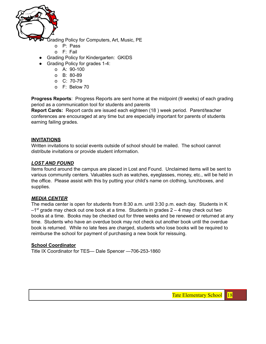

Grading Policy for Computers, Art, Music, PE

- o P: Pass
- o F: Fail
- Grading Policy for Kindergarten: GKIDS
- Grading Policy for grades 1-4:
	- o A: 90-100
		- o B: 80-89
		- o C: 70-79
		- o F: Below 70

**Progress Reports**: Progress Reports are sent home at the midpoint (9 weeks) of each grading period as a communication tool for students and parents

**Report Cards:** Report cards are issued each eighteen (18 ) week period. Parent/teacher conferences are encouraged at any time but are especially important for parents of students earning failing grades.

#### **INVITATIONS**

Written invitations to social events outside of school should be mailed. The school cannot distribute invitations or provide student information.

#### *LOST AND FOUND*

Items found around the campus are placed in Lost and Found. Unclaimed items will be sent to various community centers. Valuables such as watches, eyeglasses, money, etc., will be held in the office. Please assist with this by putting your child's name on clothing, lunchboxes, and supplies.

#### *MEDIA CENTER*

The media center is open for students from 8:30 a.m. until 3:30 p.m. each day. Students in K  $-1$ <sup>st</sup> grade may check out one book at a time. Students in grades 2  $-$  4 may check out two books at a time. Books may be checked out for three weeks and be renewed or returned at any time. Students who have an overdue book may not check out another book until the overdue book is returned. While no late fees are charged, students who lose books will be required to reimburse the school for payment of purchasing a new book for reissuing.

#### **School Coordinator**

Title IX Coordinator for TES— Dale Spencer —706-253-1860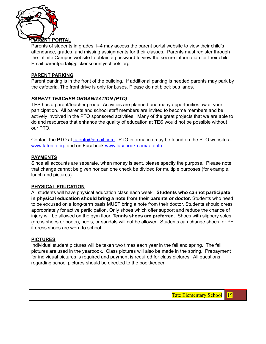

Parents of students in grades 1–4 may access the parent portal website to view their child's attendance, grades, and missing assignments for their classes. Parents must register through the Infinite Campus website to obtain a password to view the secure information for their child. Email parentportal@pickenscountyschools.org

#### **PARENT PARKING**

Parent parking is in the front of the building. If additional parking is needed parents may park by the cafeteria. The front drive is only for buses. Please do not block bus lanes.

#### *PARENT TEACHER ORGANIZATION (PTO)*

TES has a parent/teacher group. Activities are planned and many opportunities await your participation. All parents and school staff members are invited to become members and be actively involved in the PTO sponsored activities. Many of the great projects that we are able to do and resources that enhance the quality of education at TES would not be possible without our PTO.

Contact the PTO at [tatepto@gmail.com.](mailto:tatepto@gmail.com) PTO information may be found on the PTO website at [www.tatepto.org](http://www.tatepto.org) and on Facebook [www.facebook.com/tatepto](http://www.facebook.com/tatepto) .

#### **PAYMENTS**

Since all accounts are separate, when money is sent, please specify the purpose. Please note that change cannot be given nor can one check be divided for multiple purposes (for example, lunch and pictures).

#### **PHYSICAL EDUCATION**

All students will have physical education class each week. **Students who cannot participate in physical education should bring a note from their parents or doctor.** Students who need to be excused on a long-term basis MUST bring a note from their doctor. Students should dress appropriately for active participation. Only shoes which offer support and reduce the chance of injury will be allowed on the gym floor. **Tennis shoes are preferred.** Shoes with slippery soles (dress shoes or boots), heels, or sandals will not be allowed. Students can change shoes for PE if dress shoes are worn to school.

#### **PICTURES**

Individual student pictures will be taken two times each year in the fall and spring. The fall pictures are used in the yearbook. Class pictures will also be made in the spring. Prepayment for individual pictures is required and payment is required for class pictures. All questions regarding school pictures should be directed to the bookkeeper.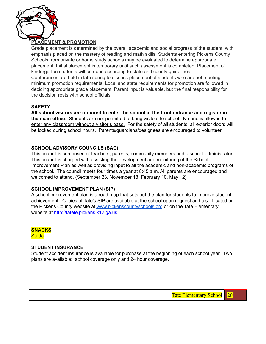

#### **PLACEMENT & PROMOTION**

Grade placement is determined by the overall academic and social progress of the student, with emphasis placed on the mastery of reading and math skills. Students entering Pickens County Schools from private or home study schools may be evaluated to determine appropriate placement. Initial placement is temporary until such assessment is completed. Placement of kindergarten students will be done according to state and county guidelines.

Conferences are held in late spring to discuss placement of students who are not meeting minimum promotion requirements. Local and state requirements for promotion are followed in deciding appropriate grade placement. Parent input is valuable, but the final responsibility for the decision rests with school officials.

#### **SAFETY**

**All school visitors are required to enter the school at the front entrance and register in the main office**. Students are not permitted to bring visitors to school. No one is allowed to enter any classroom without a visitor's pass. For the safety of all students, all exterior doors will be locked during school hours. Parents/guardians/designees are encouraged to volunteer.

#### **SCHOOL ADVISORY COUNCILS (SAC)**

This council is composed of teachers, parents, community members and a school administrator. This council is charged with assisting the development and monitoring of the School Improvement Plan as well as providing input to all the academic and non-academic programs of the school. The council meets four times a year at 8:45 a.m. All parents are encouraged and welcomed to attend. (September 23, November 18, February 10, May 12)

#### **SCHOOL IMPROVEMENT PLAN (SIP)**

A school improvement plan is a road map that sets out the plan for students to improve student achievement. Copies of Tate's SIP are available at the school upon request and also located on the Pickens County website at [www.pickenscountyschools.org](http://www.pickens.k12.ga.us) or on the Tate Elementary website at [http://tatele.pickens.k12.ga.us.](http://tatele.pickens.k12.ga.us)

**SNACKS Stude** 

#### **STUDENT INSURANCE**

Student accident insurance is available for purchase at the beginning of each school year. Two plans are available: school coverage only and 24 hour coverage.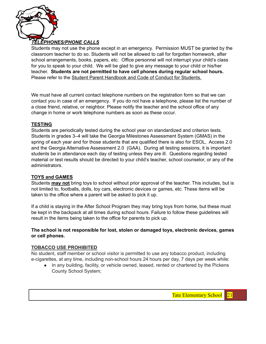

#### *TELEPHONES/PHONE CALLS*

Students may not use the phone except in an emergency. Permission MUST be granted by the classroom teacher to do so. Students will not be allowed to call for forgotten homework, after school arrangements, books, papers, etc. Office personnel will not interrupt your child's class for you to speak to your child. We will be glad to give any message to your child or his/her teacher. **Students are not permitted to have cell phones during regular school hours.** Please refer to the Student Parent Handbook and Code of Conduct for Students.

We must have all current contact telephone numbers on the registration form so that we can contact you in case of an emergency. If you do not have a telephone, please list the number of a close friend, relative, or neighbor. Please notify the teacher and the school office of any change in home or work telephone numbers as soon as these occur.

#### **TESTING**

Students are periodically tested during the school year on standardized and criterion tests. Students in grades 3–4 will take the Georgia Milestones Assessment System (GMAS) in the spring of each year and for those students that are qualified there is also for ESOL, Access 2.0 and the Georgia Alternative Assessment 2.0 (GAA). During all testing sessions, it is important students be in attendance each day of testing unless they are ill. Questions regarding tested material or test results should be directed to your child's teacher, school counselor, or any of the administrators.

#### **TOYS and GAMES**

Students **may not** bring toys to school without prior approval of the teacher. This includes, but is not limited to, footballs, dolls, toy cars, electronic devices or games, etc. These items will be taken to the office where a parent will be asked to pick it up.

If a child is staying in the After School Program they may bring toys from home, but these must be kept in the backpack at all times during school hours. Failure to follow these guidelines will result in the items being taken to the office for parents to pick up.

#### **The school is not responsible for lost, stolen or damaged toys, electronic devices, games or cell phones.**

#### **TOBACCO USE PROHIBITED**

No student, staff member or school visitor is permitted to use any tobacco product, including e-cigarettes, at any time, including non-school hours 24 hours per day, 7 days per week while:

● In any building, facility, or vehicle owned, leased, rented or chartered by the Pickens County School System;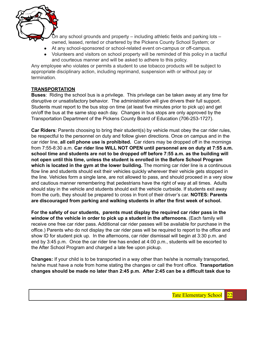

In any school grounds and property – including athletic fields and parking lots  $$ owned, leased, rented or chartered by the Pickens County School System; or

- At any school-sponsored or school-related event on-campus or off-campus.
- Volunteers and visitors on school property will be reminded of this policy in a tactful and courteous manner and will be asked to adhere to this policy.

Any employee who violates or permits a student to use tobacco products will be subject to appropriate disciplinary action, including reprimand, suspension with or without pay or termination.

#### **TRANSPORTATION**

**Buses**: Riding the school bus is a privilege. This privilege can be taken away at any time for disruptive or unsatisfactory behavior. The administration will give drivers their full support. Students must report to the bus stop on time (at least five minutes prior to pick up) and get on/off the bus at the same stop each day. Changes in bus stops are only approved by the Transportation Department of the Pickens County Board of Education (706-253-1727).

**Car Riders**: Parents choosing to bring their student(s) by vehicle must obey the car rider rules, be respectful to the personnel on duty and follow given directions. Once on campus and in the car rider line, **all cell phone use is prohibited.** Car riders may be dropped off in the mornings from 7:55-8:30 a.m. **Car rider line WILL NOT OPEN until personnel are on duty at 7:55 a.m. school time and students are not to be dropped off before 7:55 a.m. as the building will not open until this time, unless the student is enrolled in the Before School Program which is located in the gym at the lower building.** The morning car rider line is a continuous flow line and students should exit their vehicles quickly wherever their vehicle gets stopped in the line. Vehicles form a single lane, are not allowed to pass, and should proceed in a very slow and cautious manner remembering that pedestrians have the right of way at all times. Adults should stay in the vehicle and students should exit the vehicle curbside. If students exit away from the curb, they should be prepared to cross in front of their driver's car. **NOTES: Parents are discouraged from parking and walking students in after the first week of school.**

**For the safety of our students, parents must display the required car rider pass in the window of the vehicle in order to pick up a student in the afternoons.** (Each family will receive one free car rider pass. Additional car rider passes will be available for purchase in the office.) Parents who do not display the car rider pass will be required to report to the office and show ID for student pick up. In the afternoons, car rider dismissal will begin at 3:30 p.m. and end by 3:45 p.m. Once the car rider line has ended at 4:00 p.m., students will be escorted to the After School Program and charged a late fee upon pickup.

**Changes:** If your child is to be transported in a way other than he/she is normally transported, he/she must have a note from home stating the changes or call the front office. **Transportation changes should be made no later than 2:45 p.m. After 2:45 can be a difficult task due to**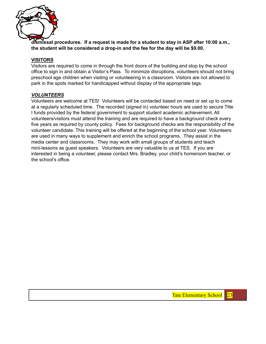

**dismissal procedures. If a request is made for a student to stay in ASP after 10:00 a.m., the student will be considered a drop-in and the fee for the day will be \$9.00.**

#### **VISITORS**

Visitors are required to come in through the front doors of the building and stop by the school office to sign in and obtain a Visitor's Pass. To minimize disruptions, volunteers should not bring preschool age children when visiting or volunteering in a classroom. Visitors are not allowed to park in the spots marked for handicapped without display of the appropriate tags.

#### *VOLUNTEERS*

Volunteers are welcome at TES! Volunteers will be contacted based on need or set up to come at a regularly scheduled time. The recorded (signed in) volunteer hours are used to secure Title I funds provided by the federal government to support student academic achievement. All volunteers/visitors must attend the training and are required to have a background check every five years as required by county policy. Fees for background checks are the responsibility of the volunteer candidate. This training will be offered at the beginning of the school year. Volunteers are used in many ways to supplement and enrich the school programs. They assist in the media center and classrooms. They may work with small groups of students and teach mini-lessons as guest speakers. Volunteers are very valuable to us at TES. If you are interested in being a volunteer, please contact Mrs. Bradley, your child's homeroom teacher, or the school's office.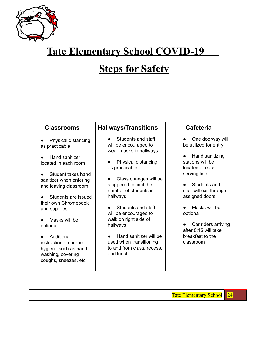

## **Tate Elementary School COVID-19**

## **Steps for Safety**

### **Classrooms**

- Physical distancing as practicable
- **Hand sanitizer** located in each room
- Student takes hand sanitizer when entering and leaving classroom
- Students are issued their own Chromebook and supplies
- Masks will be optional
- Additional instruction on proper hygiene such as hand washing, covering coughs, sneezes, etc.

## **Hallways/Transitions**

- Students and staff will be encouraged to wear masks in hallways
- Physical distancing as practicable
- Class changes will be staggered to limit the number of students in hallways
- Students and staff will be encouraged to walk on right side of hallways
- Hand sanitizer will be used when transitioning to and from class, recess, and lunch

## **Cafeteria**

- One doorway will be utilized for entry
- Hand sanitizing stations will be located at each serving line
- Students and staff will exit through assigned doors
- Masks will be optional
- Car riders arriving after 8:15 will take breakfast to the classroom